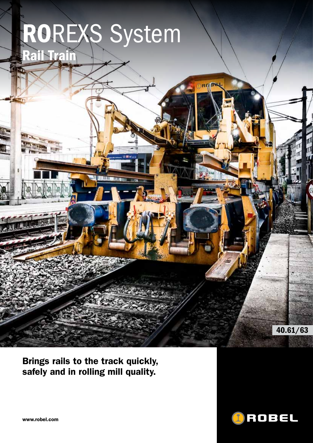# ROREXS System Rail Train

Brings rails to the track quickly, safely and in rolling mill quality.



40.61/63

www.robel.com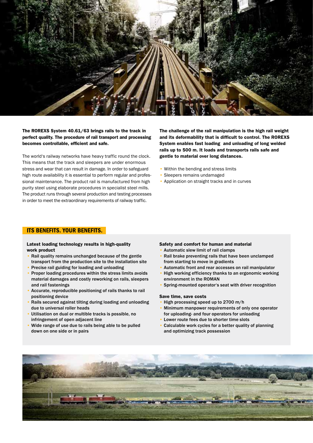

### The ROREXS System 40.61/63 brings rails to the track in perfect quality. The procedure of rail transport and processing becomes controllable, efficient and safe.

The world's railway networks have heavy traffic round the clock. This means that the track and sleepers are under enormous stress and wear that can result in damage. In order to safeguard high route availability it is essential to perform regular and professional maintenance. The product rail is manufactured from high purity steel using elaborate procedures in specialist steel mills. The product runs through several production and testing processes in order to meet the extraordinary requirements of railway traffic.

The challenge of the rail manipulation is the high rail weight and its deformability that is difficult to control. The ROREXS System enables fast loading and unloading of long welded rails up to 500 m. It loads and transports rails safe and gentle to material over long distances.

- Within the bending and stress limits
- Sleepers remains undamaged
- Application on straight tracks and in curves

### ITS BENEFITS. YOUR BENEFITS.

#### Latest loading technology results in high-quality work product

- Rail quality remains unchanged because of the gentle transport from the production site to the installation site
- Precise rail guiding for loading and unloading
- Proper loading procedures within the stress limits avoids material damages and costly reworking on rails, sleepers and rail fastenings
- Accurate, reproducible positioning of rails thanks to rail positioning device
- Rails secured against tilting during loading and unloading due to universal roller heads
- Utilisation on dual or multible tracks is possible, no infringement of open adjacent line
- Wide range of use due to rails being able to be pulled down on one side or in pairs

#### Safety and comfort for human and material

- Automatic slew limit of rail clamps
- Rail brake preventing rails that have been unclamped from starting to move in gradients
- Automatic front and rear accesses on rail manipulator
- High working efficiency thanks to an ergonomic working environment in the ROMAN
- Spring-mounted operator's seat with driver recognition

#### Save time, save costs

- High processing speed up to 2700 m/h
- Minimum manpower requirements of only one operator for uploading- and four operators for unloading
- Lower route fees due to shorter time slots
- Calculable work cycles for a better quality of planning and optimizing track possession

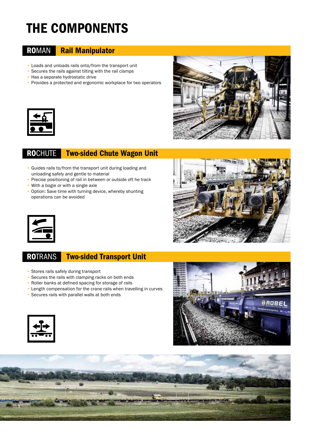## The components

### ROMAN Rail Manipulator

- Loads and unloads rails onto/from the transport unit
- Secures the rails against tilting with the rail clamps
- Has a separate hydrostatic drive
- Provides a protected and ergonomic workplace for two operators



### ROCHUTE Two-sided Chute Wagon Unit

- Guides rails to/from the transport unit during loading and unloading safely and gentle to material
- Precise positioning of rail in between or outside oft he track
- With a bogie or with a single axle
- Option: Save time with turning device, whereby shunting operations can be avoided







### ROTRANS Two-sided Transport Unit

- Stores rails safely during transport
- Secures the rails with clamping racks on both ends
- Roller banks at defined spacing for storage of rails
- Length compensation for the crane rails when travelling in curves
- Secures rails with parallel walls at both ends